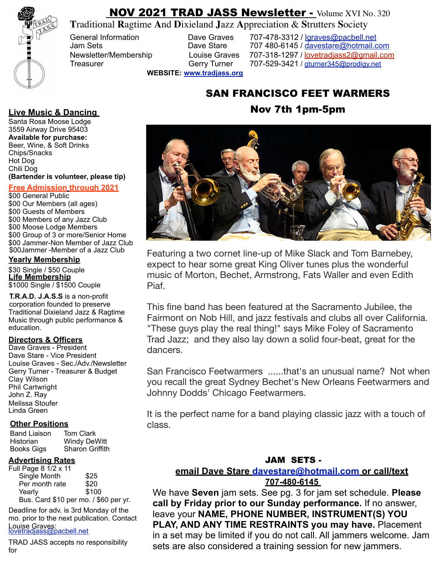

# NOV 2021 TRAD JASS Newsletter - Volume XVI No. 320

**T**raditional **R**agtime **A**nd **D**ixieland **J**azz **A**ppreciation & **S**trutters **S**ociety

General Information **Dave Graves** 707-478-3312 / [lgraves@pacbell.net](http://www.tradjass.org) Jam Sets Dave Stare 707 480-6145 / [davestare@hotmail.com](mailto:dstare@hotmail.com) Newsletter/Membership Louise Graves 707-318-1297 / lovetradiass2@gmail.com Treasurer Gerry Turner 707-529-3421 / gturner345@prodigy.net

**WEBSITE: [www.tradjass.org](http://www.tradjass.org)**

# SAN FRANCISCO FEET WARMERS

## **Live Music & Dancing Contract Contract Contract Contract Contract Contract Contract Contract Contract Contract Contract Contract Contract Contract Contract Contract Contract Contract Contract Contract Contract Contract Co**

Santa Rosa Moose Lodge 3559 Airway Drive 95403 **Available for purchase:**  Beer, Wine, & Soft Drinks Chips/Snacks Hot Dog Chili Dog **(Bartender is volunteer, please tip)**

#### **Free Admission through 2021**

\$00 General Public \$00 Our Members (all ages) \$00 Guests of Members \$00 Members of any Jazz Club \$00 Moose Lodge Members \$00 Group of 3 or more/Senior Home \$00 Jammer-Non Member of Jazz Club \$00Jammer -Member of a Jazz Club

#### **Yearly Membership**

\$30 Single / \$50 Couple **Life Membership** \$1000 Single / \$1500 Couple

**T.R.A.D. J.A.S.S** is a non-profit corporation founded to preserve Traditional Dixieland Jazz & Ragtime Music through public performance & education.

### **Directors & Officers**

Dave Graves - President Dave Stare - Vice President Louise Graves - Sec./Adv./Newsletter Gerry Turner - Treasurer & Budget Clay Wilson Phil Cartwright John Z. Ray Melissa Stoufer Linda Green

#### **Other Positions**

| <b>Band Liaison</b> | <b>Tom Clark</b>       |
|---------------------|------------------------|
| Historian           | <b>Windy DeWitt</b>    |
| <b>Books Gigs</b>   | <b>Sharon Griffith</b> |

#### **Advertising Rates**

| Full Page 8 1/2 x 11                  |       |
|---------------------------------------|-------|
| Single Month                          | \$25  |
| Per month rate                        | \$20  |
| Yearly                                | \$100 |
| Bus. Card \$10 per mo. / \$60 per yr. |       |

Deadline for adv. is 3rd Monday of the mo. prior to the next publication. Contact Louise Graves:<br>lovetradjass@pacbell.net

TRAD JASS accepts no responsibility for



Featuring a two cornet line-up of Mike Slack and Tom Barnebey, expect to hear some great King Oliver tunes plus the wonderful music of Morton, Bechet, Armstrong, Fats Waller and even Edith Piaf.

This fine band has been featured at the Sacramento Jubilee, the Fairmont on Nob Hill, and jazz festivals and clubs all over California. "These guys play the real thing!" says Mike Foley of Sacramento Trad Jazz; and they also lay down a solid four-beat, great for the dancers.

San Francisco Feetwarmers ......that's an unusual name? Not when you recall the great Sydney Bechet's New Orleans Feetwarmers and Johnny Dodds' Chicago Feetwarmers.

It is the perfect name for a band playing classic jazz with a touch of class.

### JAM SETS -

### **email Dave Stare [davestare@hotmail.com](mailto:davestare@hotmail.com) or call/text**

**707-480-6145**

We have **Seven** jam sets. See pg. 3 for jam set schedule. **Please call by Friday prior to our Sunday performance.** If no answer, leave your **NAME, PHONE NUMBER, INSTRUMENT(S) YOU PLAY, AND ANY TIME RESTRAINTS you may have.** Placement in a set may be limited if you do not call. All jammers welcome. Jam sets are also considered a training session for new jammers.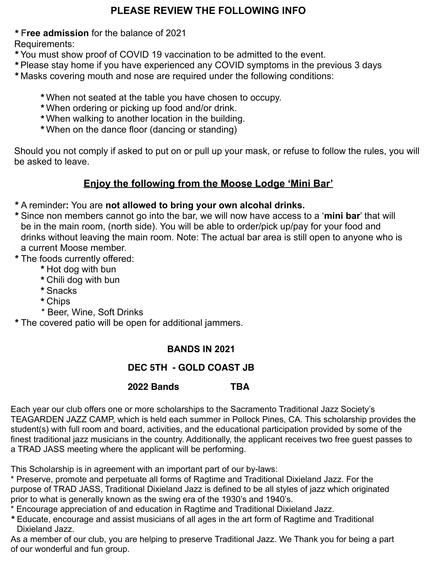### **PLEASE REVIEW THE FOLLOWING INFO**

\* F**ree admission** for the balance of 2021

Requirements:

- \*You must show proof of COVID 19 vaccination to be admitted to the event.
- \*Please stay home if you have experienced any COVID symptoms in the previous 3 days
- \*Masks covering mouth and nose are required under the following conditions:
	- \*When not seated at the table you have chosen to occupy.
	- \*When ordering or picking up food and/or drink.
	- \*When walking to another location in the building.
	- \*When on the dance floor (dancing or standing)

Should you not comply if asked to put on or pull up your mask, or refuse to follow the rules, you will be asked to leave.

### **Enjoy the following from the Moose Lodge 'Mini Bar'**

- \*A reminder**:** You are **not allowed to bring your own alcohal drinks.**
- \*Since non members cannot go into the bar, we will now have access to a '**mini bar**' that will be in the main room, (north side). You will be able to order/pick up/pay for your food and drinks without leaving the main room. Note: The actual bar area is still open to anyone who is a current Moose member.
- \* The foods currently offered:
	- \* Hot dog with bun
	- \* Chili dog with bun
	- \*Snacks
	- \* Chips
	- \* Beer, Wine, Soft Drinks
- \* The covered patio will be open for additional jammers.

### **BANDS IN 2021**

### **DEC 5TH - GOLD COAST JB**

### **2022 Bands ! ! TBA**

Each year our club offers one or more scholarships to the Sacramento Traditional Jazz Society's TEAGARDEN JAZZ CAMP, which is held each summer in Pollock Pines, CA. This scholarship provides the student(s) with full room and board, activities, and the educational participation provided by some of the finest traditional jazz musicians in the country. Additionally, the applicant receives two free guest passes to a TRAD JASS meeting where the applicant will be performing.

This Scholarship is in agreement with an important part of our by-laws:

\* Preserve, promote and perpetuate all forms of Ragtime and Traditional Dixieland Jazz. For the purpose of TRAD JASS, Traditional Dixieland Jazz is defined to be all styles of jazz which originated prior to what is generally known as the swing era of the 1930's and 1940's.

- \* Encourage appreciation of and education in Ragtime and Traditional Dixieland Jazz.
- \*Educate, encourage and assist musicians of all ages in the art form of Ragtime and Traditional Dixieland Jazz.

As a member of our club, you are helping to preserve Traditional Jazz. We Thank you for being a part of our wonderful and fun group.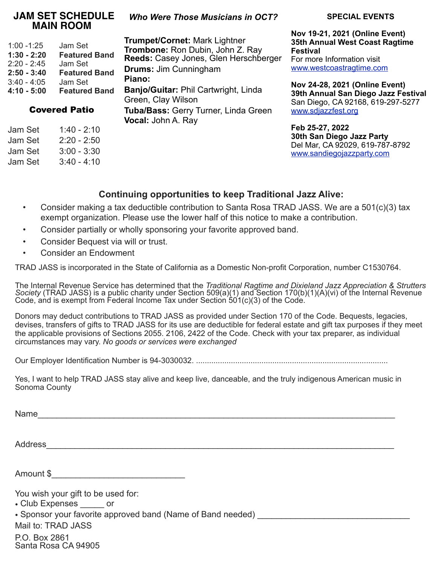### **JAM SET SCHEDULE MAIN ROOM**

| $1:00 - 1:25$ | Jam Set              |
|---------------|----------------------|
| 1:30 - 2:20   | <b>Featured Band</b> |
| $2:20 - 2:45$ | Jam Set              |
| $2:50 - 3:40$ | <b>Featured Band</b> |
|               |                      |
| 3:40 - 4:05   | Jam Set              |
| 4:10 - 5:00   | <b>Featured Band</b> |

Covered Patio

Jam Set 1:40 - 2:10 Jam Set 2:20 - 2:50 Jam Set 3:00 - 3:30 Jam Set 3:40 - 4:10

### *Who Were Those Musicians in OCT?*

**Trumpet/Cornet:** Mark Lightner **Trombone:** Ron Dubin, John Z. Ray **Reeds:** Casey Jones, Glen Herschberger **Drums:** Jim Cunningham **Piano: Banjo/Guitar:** Phil Cartwright, Linda Green, Clay Wilson **Tuba/Bass:** Gerry Turner, Linda Green **Vocal:** John A. Ray

#### **SPECIAL EVENTS**

**Nov 19-21, 2021 (Online Event) 35th Annual West Coast Ragtime Festival** For more Information visit [www.westcoastragtime.com](http://www.westcoastragtime.com)

**Nov 24-28, 2021 (Online Event) 39th Annual San Diego Jazz Festival** San Diego, CA 92168, 619-297-5277 [www.sdjazzfest.org](http://www.sdjazzfest.org)

**Feb 25-27, 2022 30th San Diego Jazz Party** Del Mar, CA 92029, 619-787-8792 [www.sandiegojazzparty.com](http://www.sandiegojazzparty.com) 

### **Continuing opportunities to keep Traditional Jazz Alive:**

- Consider making a tax deductible contribution to Santa Rosa TRAD JASS. We are a 501(c)(3) tax exempt organization. Please use the lower half of this notice to make a contribution.
- Consider partially or wholly sponsoring your favorite approved band.
- Consider Bequest via will or trust.
- Consider an Endowment

TRAD JASS is incorporated in the State of California as a Domestic Non-profit Corporation, number C1530764.

The Internal Revenue Service has determined that the *Traditional Ragtime and Dixieland Jazz Appreciation & Strutters*<br>Society (TRAD JASS) is a public charity under Section 509(a)(1) and Section 170(b)(1)(A)(vi) of the Int Code, and is exempt from Federal Income Tax under Section  $501(c)(3)$  of the Code.

Donors may deduct contributions to TRAD JASS as provided under Section 170 of the Code. Bequests, legacies, devises, transfers of gifts to TRAD JASS for its use are deductible for federal estate and gift tax purposes if they meet the applicable provisions of Sections 2055. 2106, 2422 of the Code. Check with your tax preparer, as individual circumstances may vary. *No goods or services were exchanged* 

Our Employer Identification Number is 94-3030032. ........................................................................................

Yes, I want to help TRAD JASS stay alive and keep live, danceable, and the truly indigenous American music in Sonoma County

Name $\Box$ 

Address\_\_\_\_\_\_\_\_\_\_\_\_\_\_\_\_\_\_\_\_\_\_\_\_\_\_\_\_\_\_\_\_\_\_\_\_\_\_\_\_\_\_\_\_\_\_\_\_\_\_\_\_\_\_\_\_\_\_\_\_\_\_\_\_\_\_\_\_\_\_\_\_\_

Amount \$\_\_\_\_\_\_\_\_\_\_\_\_\_\_\_\_\_\_\_\_\_\_\_\_\_\_\_\_

You wish your gift to be used for:

• Club Expenses or

• Sponsor your favorite approved band (Name of Band needed)

Mail to: TRAD JASS

P.O. Box 2861 Santa Rosa CA 94905